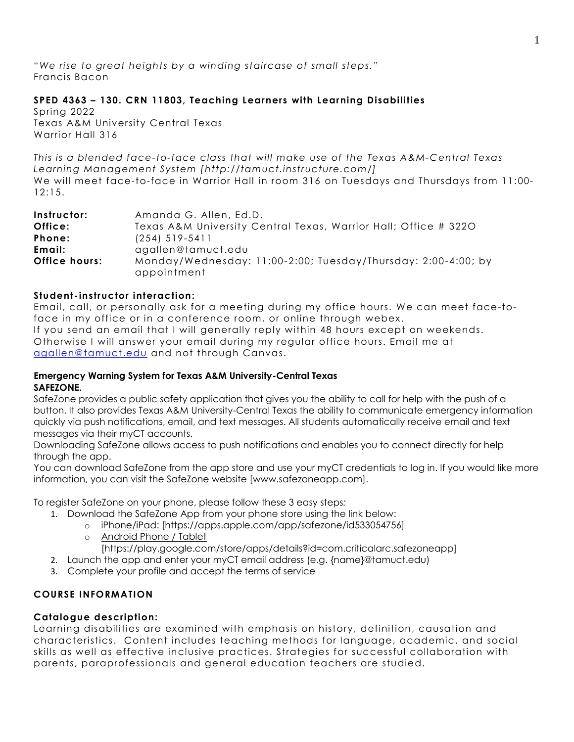"*We rise to great heights by a winding staircase of small steps."* Francis Bacon

## **SPED 4363 – 130. CRN 11803, Teaching Learners with Learning Disabilities**

Spring 2022 Texas A&M University Central Texas Warrior Hall 316

*This is a blended face-to-face class that will make use of the Texas A&M-Central Texas Learning Management System [http://tamuct.instructure.com/]* We will meet face-to-face in Warrior Hall in room 316 on Tuesdays and Thursdays from 11:00- 12:15.

| Instructor:          | Amanda G. Allen, Ed.D.                                                       |  |  |
|----------------------|------------------------------------------------------------------------------|--|--|
| Office:              | Texas A&M University Central Texas, Warrior Hall; Office # 3220              |  |  |
| Phone:               | $(254)$ 519-5411                                                             |  |  |
| Email:               | agallen@tamuct.edu                                                           |  |  |
| <b>Office hours:</b> | Monday/Wednesday: 11:00-2:00; Tuesday/Thursday: 2:00-4:00; by<br>appointment |  |  |

#### **Student - instructor interaction:**

Email, call, or personally ask for a meeting during my office hours. We can meet face-toface in my office or in a conference room, or online through webex. If you send an email that I will generally reply within 48 hours except on weekends. Otherwise I will answer your email during my regular office hours. Email me at [agallen@tamuct.edu](mailto:agallen@tamuct.edu) and not through Canvas.

#### **Emergency Warning System for Texas A&M University-Central Texas SAFEZONE.**

SafeZone provides a public safety application that gives you the ability to call for help with the push of a button. It also provides Texas A&M University-Central Texas the ability to communicate emergency information quickly via push notifications, email, and text messages. All students automatically receive email and text messages via their myCT accounts.

Downloading SafeZone allows access to push notifications and enables you to connect directly for help through the app.

You can download SafeZone from the app store and use your myCT credentials to log in. If you would like more information, you can visit the [SafeZone](http://www.safezoneapp.com/) website [www.safezoneapp.com].

To register SafeZone on your phone, please follow these 3 easy steps*:*

- 1. Download the SafeZone App from your phone store using the link below:
	- o [iPhone/iPad:](https://apps.apple.com/app/safezone/id533054756) [https://apps.apple.com/app/safezone/id533054756]
	- o [Android Phone / Tablet](https://play.google.com/store/apps/details?id=com.criticalarc.safezoneapp)
		- [https://play.google.com/store/apps/details?id=com.criticalarc.safezoneapp]
- 2. Launch the app and enter your myCT email address (e.g. {name}@tamuct.edu)
- 3. Complete your profile and accept the terms of service

## **COURSE INFORMATION**

#### **Catalogue description:**

Learning disabilities are examined with emphasis on history, definition, causation and characteristics. Content includes teaching methods for language, academic, and social skills as well as effective inclusive practices. Strategies for successful collaboration with parents, paraprofessionals and general education teachers are studied.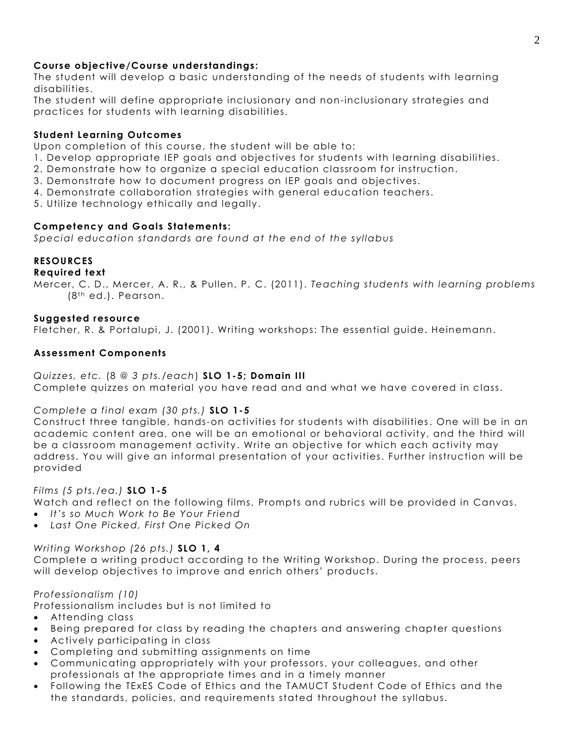## **Course objective/Course understandings :**

The student will develop a basic understanding of the needs of students with learning disabilities.

The student will define appropriate inclusionary and non-inclusionary strategies and practices for students with learning disabilities.

#### **Student Learning Outcomes**

Upon completion of this course, the student will be able to:

- 1. Develop appropriate IEP goals and objectives for students with learning disabilities.
- 2. Demonstrate how to organize a special education classroom for instruction.
- 3. Demonstrate how to document progress on IEP goals and objectives.
- 4. Demonstrate collaboration strategies with general education teachers.

5. Utilize technology ethically and legally.

### **Competency and Goals Statements:**

*Special education standards are found at the end of the syllabus*

### **RESOURCES**

#### **Required text**

Mercer, C. D., Mercer, A. R., & Pullen, P. C. (2011). *Teaching students with learning problems*   $(8<sup>th</sup>$  ed.). Pearson.

#### **Suggested resource**

Fletcher, R. & Portalupi, J. (2001). Writing workshops: The essential guide. Heinemann.

### **Assessment Components**

### *Quizzes, etc.* (8 @ *3 pts. /each*) **SLO 1-5; Domain III**

Complete quizzes on material you have read and and what we have covered in class.

#### *Complete a final exam (30 pts.)* **SLO 1-5**

Construct three tangible, hands-on activities for students with disabilities. One will be in an academic content area, one will be an emotional or behavioral activity, and the third will be a classroom management activity . Write an objective for which each activity may address. You will give an informal presentation of your activities. Further instruction will be provided

#### *Films (5 pts./ea.)* **SLO 1-5**

Watch and reflect on the following films. Prompts and rubrics will be provided in Canvas.

- *It's so Much Work to Be Your Friend*
- *Last One Picked, First One Picked On*

#### *Writing Workshop (26 pts.)* **SLO 1, 4**

Complete a writing product according to the Writing Workshop. During the process, peers will develop objectives to improve and enrich others' products.

#### *Professionalism (10)*

Professionalism includes but is not limited to

- Attending class
- Being prepared for class by reading the chapters and answering chapter questions
- Actively participating in class
- Completing and submitting assignments on time
- Communicating appropriately with your professors, your colleagues, and other professionals at the appropriate times and in a timely manner
- Following the TExES Code of Ethics and the TAMUCT Student Code of Ethics and the the standards, policies, and requirements stated throughout the syllabus.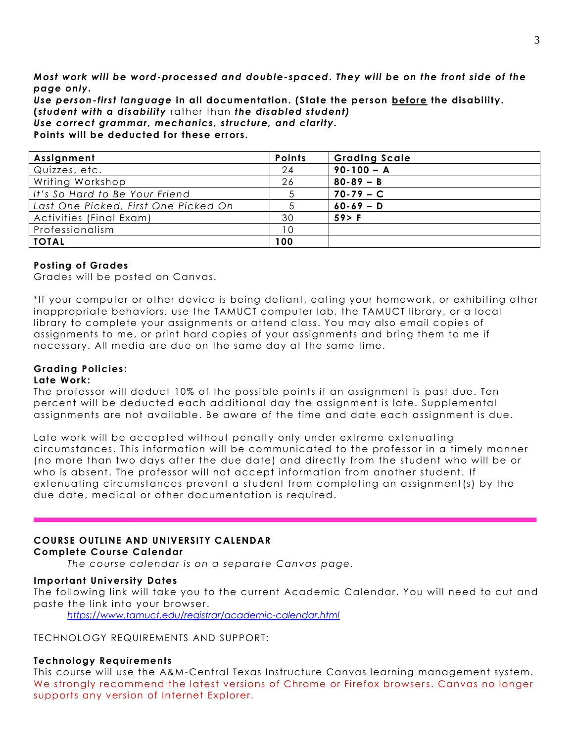*Most work will be word-processed and double-spaced***.** *They will be on the front side of the page only.* 

*Use person- first language* **in all documentation. (State the person before the disability. (***student with a disability* rather than *the disabled student)*

*Use correct grammar, mechanics, structure, and clarity.*

**Points will be deducted for these errors.** 

| Assignment                           | <b>Points</b> | <b>Grading Scale</b> |
|--------------------------------------|---------------|----------------------|
| Quizzes, etc.                        | 24            | $90 - 100 - A$       |
| Writing Workshop                     | 26            | $80 - 89 - B$        |
| It's So Hard to Be Your Friend       |               | $70 - 79 - C$        |
| Last One Picked, First One Picked On |               | $60 - 69 - D$        |
| Activities (Final Exam)              | 30            | 59 > F               |
| Professionalism                      | 10            |                      |
| <b>TOTAL</b>                         | 100           |                      |

#### **Posting of Grades**

Grades will be posted on Canvas.

\*If your computer or other device is being defiant, eating your homework, or exhibiting other inappropriate behaviors, use the TAMUCT computer lab, the TAMUCT library, or a local library to complete your assignments or attend class. You may also email copie s of assignments to me, or print hard copies of your assignments and bring them to me if necessary. All media are due on the same day at the same time.

#### **Grading Policies: Late Work:**

The professor will deduct 10% of the possible points if an assignment is past due. Ten percent will be deducted each additional day the assignment is late. Supplemental assignments are not available. Be aware of the time and date each assignment is due.

Late work will be accepted without penalty only under extreme extenuating circumstances. This information will be communicated to the professor in a timely manner (no more than two days after the due date) and directly from the student who will be or who is absent. The professor will not accept information from another student. If extenuating circumstances prevent a student from completing an assignment(s) by the due date, medical or other documentation is required.

# **COURSE OUTLINE AND UNIVERSITY CALENDAR**

#### **Complete Course Calendar**

*The course calendar is on a separate Canvas page.*

#### **Important University Dates**

The following link will take you to the current Academic Calendar. You will need to cut and paste the link into your browser.

*<https://www.tamuct.edu/registrar/academic-calendar.html>*

TECHNOLOGY REQUIREMENTS AND SUPPORT:

#### **Technology Requirements**

This course will use the A&M-Central Texas Instructure Canvas learning management system. We strongly recommend the latest versions of Chrome or Firefox browsers. Canvas no longer supports any version of Internet Explorer.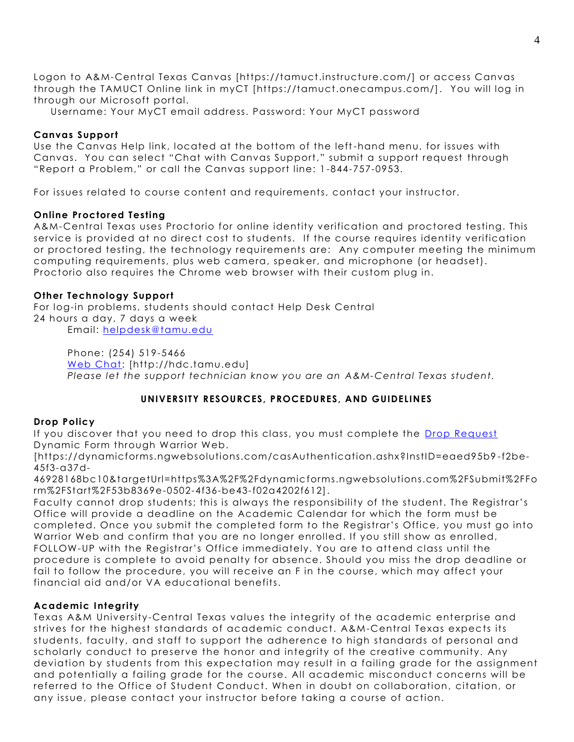Logon to A&M-Central Texas Canvas [https://tamuct.instructure.com/] or access Canvas through the TAMUCT Online link in myCT [https://tamuct.onecampus.com/]. You will log in through our Microsoft portal.

Username: Your MyCT email address. Password: Your MyCT password

### **Canvas Support**

Use the Canvas Help link, located at the bottom of the left -hand menu, for issues with Canvas. You can select "Chat with Canvas Support," submit a support request through "Report a Problem," or call the Canvas support line: 1 -844-757-0953.

For issues related to course content and requirements, contact your instructor.

### **Online Proctored Testing**

A&M-Central Texas uses Proctorio for online identity verification and proctored testing. This service is provided at no direct cost to students. If the course requires identity verification or proctored testing, the technology requirements are: Any computer meeting the minimum computing requirements, plus web camera, speaker, and microphone (or headset). Proctorio also requires the Chrome web browser with their custom plug in.

### **Other Technology Support**

For log-in problems, students should contact Help Desk Central 24 hours a day, 7 days a week Email: [helpdesk@tamu.edu](mailto:helpdesk@tamu.edu)

Phone: (254) 519-5466 [Web Chat:](http://hdc.tamu.edu/) [http://hdc.tamu.edu] *Please let the support technician know you are an A&M-Central Texas student.*

# **UNIVERSITY RESOURCES, PROCEDURES, AND GUIDELINES**

#### **Drop Policy**

If you discover that you need to drop this class, you must complete the [Drop Request](https://dynamicforms.ngwebsolutions.com/casAuthentication.ashx?InstID=eaed95b9-f2be-45f3-a37d-46928168bc10&targetUrl=https%3A%2F%2Fdynamicforms.ngwebsolutions.com%2FSubmit%2FForm%2FStart%2F53b8369e-0502-4f36-be43-f02a4202f612) Dynamic Form through Warrior Web.

[https://dynamicforms.ngwebsolutions.com/casAuthentication.ashx?InstID=eaed95b9 -f2be-45f3-a37d-

46928168bc10&targetUrl=https%3A%2F%2Fdynamicforms.ngwebsolutions.com%2FSubmit%2FFo rm%2FStart%2F53b8369e-0502-4f36-be43-f02a4202f612].

Faculty cannot drop students; this is always the responsibility of the student. The Registrar's Office will provide a deadline on the Academic Calendar for which the form must be completed. Once you submit the completed form to the Registrar's Office, you must go into Warrior Web and confirm that you are no longer enrolled. If you still show as enrolled, FOLLOW-UP with the Registrar's Office immediately. You are to attend class until the procedure is complete to avoid penalty for absence. Should you miss the drop deadline or fail to follow the procedure, you will receive an F in the course, which may affect your financial aid and/or VA educational benefits.

#### **Academic Integrity**

Texas A&M University-Central Texas values the integrity of the academic enterprise and strives for the highest standards of academic conduct. A&M-Central Texas expects its students, faculty, and staff to support the adherence to high standards of personal and scholarly conduct to preserve the honor and integrity of the creative community. Any deviation by students from this expectation may result in a failing grade for the assignment and potentially a failing grade for the course. All academic misconduct concerns will be referred to the Office of Student Conduct. When in doubt on collaboration, citation, or any issue, please contact your instructor before taking a course of action.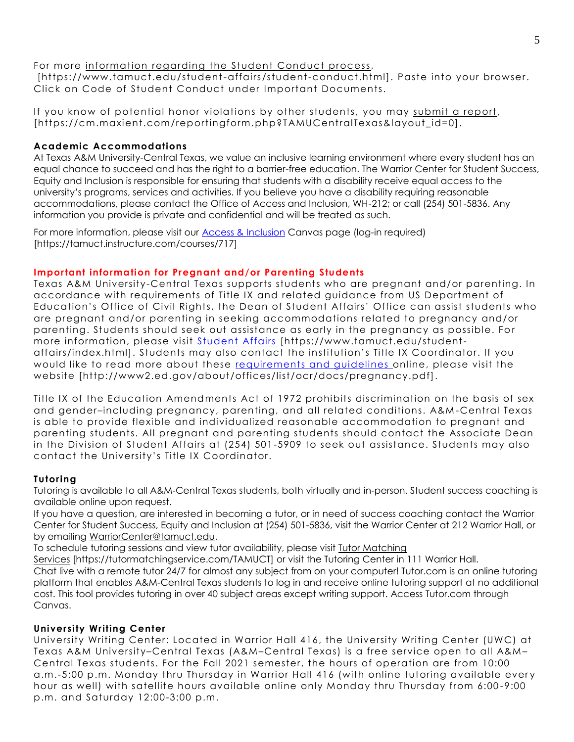# For more [information](https://nam04.safelinks.protection.outlook.com/?url=https%3A%2F%2Fwww.tamuct.edu%2Fstudent-affairs%2Fstudent-conduct.html&data=04%7C01%7Clisa.bunkowski%40tamuct.edu%7Ccfb6e486f24745f53e1a08d910055cb2%7C9eed4e3000f744849ff193ad8005acec%7C0%7C0%7C637558437485252160%7CUnknown%7CTWFpbGZsb3d8eyJWIjoiMC4wLjAwMDAiLCJQIjoiV2luMzIiLCJBTiI6Ik1haWwiLCJXVCI6Mn0%3D%7C1000&sdata=yjftDEVHvLX%2FhM%2FcFU0B99krV1RgEWR%2BJ%2BhvtoR6TYk%3D&reserved=0) regarding the Student Conduct process,

[https://www.tamuct.edu/student-affairs/student-conduct.html]. Paste into your browser. Click on Code of Student Conduct under Important Documents.

If you know of potential honor violations by other students, you may submit a [report,](https://nam04.safelinks.protection.outlook.com/?url=https%3A%2F%2Fcm.maxient.com%2Freportingform.php%3FTAMUCentralTexas%26layout_id%3D0&data=04%7C01%7Clisa.bunkowski%40tamuct.edu%7Ccfb6e486f24745f53e1a08d910055cb2%7C9eed4e3000f744849ff193ad8005acec%7C0%7C0%7C637558437485262157%7CUnknown%7CTWFpbGZsb3d8eyJWIjoiMC4wLjAwMDAiLCJQIjoiV2luMzIiLCJBTiI6Ik1haWwiLCJXVCI6Mn0%3D%7C1000&sdata=CXGkOa6uPDPX1IMZ87z3aZDq2n91xfHKu4MMS43Ejjk%3D&reserved=0) [https://cm.maxient.com/reportingform.php?TAMUCentralTexas&layout\_id=0].

# **Academic Accommodations**

At Texas A&M University-Central Texas, we value an inclusive learning environment where every student has an equal chance to succeed and has the right to a barrier-free education. The Warrior Center for Student Success, Equity and Inclusion is responsible for ensuring that students with a disability receive equal access to the university's programs, services and activities. If you believe you have a disability requiring reasonable accommodations, please contact the Office of Access and Inclusion, WH-212; or call (254) 501-5836. Any information you provide is private and confidential and will be treated as such.

For more information, please visit our **Access & Inclusion** Canvas page (log-in required) [https://tamuct.instructure.com/courses/717]

# **Important information for Pregnant and/or Parenting Students**

Texas A&M University-Central Texas supports students who are pregnant and/or parenting. In accordance with requirements of Title IX and related guidance from US Department of Education's Office of Civil Rights, the Dean of Student Affairs' Office can assist students who are pregnant and/or parenting in seeking accommodations related to pregnancy and/or parenting. Students should seek out assistance as early in the pregnancy as possible. For more information, please visit [Student Affairs](https://www.tamuct.edu/student-affairs/index.html) [https://www.tamuct.edu/studentaffairs/index.html]. Students may also contact the institution's Title IX Coordinator. If you would like to read more about these [requirements and guidelines](http://www2.ed.gov/about/offices/list/ocr/docs/pregnancy.pdf) online, please visit the website [http://www2.ed.gov/about/offices/list/ocr/docs/pregnancy.pdf].

Title IX of the Education Amendments Act of 1972 prohibits discrimination on the basis of sex and gender–including pregnancy, parenting, and all related conditions. A&M -Central Texas is able to provide flexible and individualized reasonable accommodation to pregnant and parenting students. All pregnant and parenting students should contact the Associate Dean in the Division of Student Affairs at (254) 501 -5909 to seek out assistance. Students may also contact the University's Title IX Coordinator.

# **Tutoring**

Tutoring is available to all A&M-Central Texas students, both virtually and in-person. Student success coaching is available online upon request.

If you have a question, are interested in becoming a tutor, or in need of success coaching contact the Warrior Center for Student Success, Equity and Inclusion at (254) 501-5836, visit the Warrior Center at 212 Warrior Hall, or by emailing [WarriorCenter@tamuct.edu.](mailto:WarriorCenter@tamuct.edu)

To schedule tutoring sessions and view tutor availability, please visit Tutor [Matching](https://tutormatchingservice.com/TAMUCT)

[Services](https://tutormatchingservice.com/TAMUCT) [https://tutormatchingservice.com/TAMUCT] or visit the Tutoring Center in 111 Warrior Hall. Chat live with a remote tutor 24/7 for almost any subject from on your computer! Tutor.com is an online tutoring platform that enables A&M-Central Texas students to log in and receive online tutoring support at no additional cost. This tool provides tutoring in over 40 subject areas except writing support. Access Tutor.com through Canvas.

# **University Writing Center**

University Writing Center: Located in Warrior Hall 416, the University Writing Center (UWC) at Texas A&M University–Central Texas (A&M–Central Texas) is a free service open to all A&M – Central Texas students. For the Fall 2021 semester, the hours of operation are from 10:00 a.m.-5:00 p.m. Monday thru Thursday in Warrior Hall 416 (with online tutoring available ever y hour as well) with satellite hours available online only Monday thru Thursday from 6:00 -9:00 p.m. and Saturday 12:00-3:00 p.m.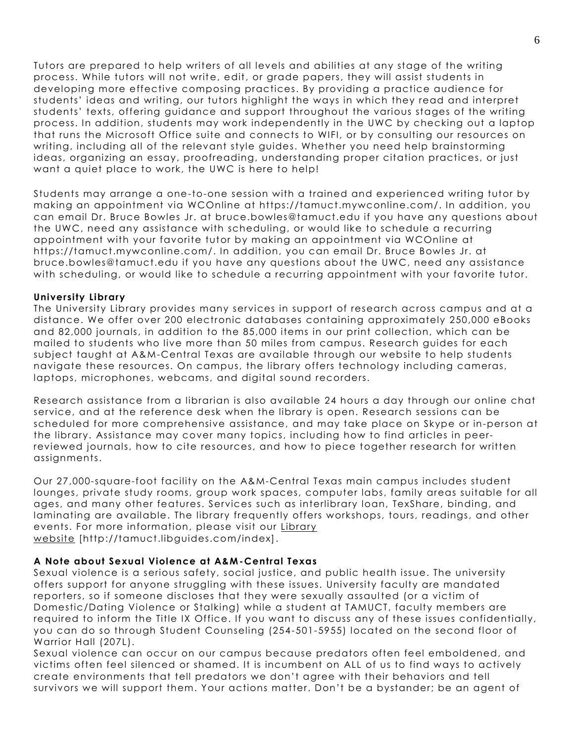Tutors are prepared to help writers of all levels and abilities at any stage of the writing process. While tutors will not write, edit, or grade papers, they will assist students in developing more effective composing practices. By providing a practice audience for students' ideas and writing, our tutors highlight the ways in which they read and interpret students' texts, offering guidance and support throughout the various stages of the writing process. In addition, students may work independently in the UWC by checking out a laptop that runs the Microsoft Office suite and connects to WIFI, or by consulting our resources on writing, including all of the relevant style guides. Whether you need help brainstorming ideas, organizing an essay, proofreading, understanding proper citation practices, or just want a quiet place to work, the UWC is here to help!

Students may arrange a one-to-one session with a trained and experienced writing tutor by making an appointment via WCOnline at https://tamuct.mywconline.com/. In addition, you can email Dr. Bruce Bowles Jr. at bruce.bowles@tamuct.edu if you have any questions about the UWC, need any assistance with scheduling, or would like to schedule a recurring appointment with your favorite tutor by making an appointment via WCOnline at https://tamuct.mywconline.com/. In addition, you can email Dr. Bruce Bowles Jr. at bruce.bowles@tamuct.edu if you have any questions about the UWC, need any assistance with scheduling, or would like to schedule a recurring appointment with your favorite tutor.

#### **University Library**

The University Library provides many services in support of research across campus and at a distance. We offer over 200 electronic databases containing approximately 250,000 eBooks and 82,000 journals, in addition to the 85,000 items in our print collection, which can be mailed to students who live more than 50 miles from campus. Research guides for each subject taught at A&M-Central Texas are available through our website to help students navigate these resources. On campus, the library offers technology including cameras, laptops, microphones, webcams, and digital sound recorders.

Research assistance from a librarian is also available 24 hours a day through our online chat service, and at the reference desk when the library is open. Research sessions can be scheduled for more comprehensive assistance, and may take place on Skype or in-person at the library. Assistance may cover many topics, including how to find articles in peerreviewed journals, how to cite resources, and how to piece together research for written assignments.

Our 27,000-square-foot facility on the A&M-Central Texas main campus includes student lounges, private study rooms, group work spaces, computer labs, family areas suitable for all ages, and many other features. Services such as interlibrary loan, TexShare, binding, and laminating are available. The library frequently offers workshops, tours, readings, and other events. For more information, please visit our [Library](https://tamuct.libguides.com/index) [website](https://tamuct.libguides.com/index) [http://tamuct.libguides.com/index].

#### **A Note about Sexual Violence at A&M-Central Texas**

Sexual violence is a serious safety, social justice, and public health issue. The university offers support for anyone struggling with these issues. University faculty are mandated reporters, so if someone discloses that they were sexually assaul ted (or a victim of Domestic/Dating Violence or Stalking) while a student at TAMUCT, faculty members are required to inform the Title IX Office. If you want to discuss any of these issues confidentially, you can do so through Student Counseling (254 -501-5955) located on the second floor of Warrior Hall (207L).

Sexual violence can occur on our campus because predators often feel emboldened, and victims often feel silenced or shamed. It is incumbent on ALL of us to find ways to actively create environments that tell predators we don't agree with their behaviors and tell survivors we will support them. Your actions matter. Don't be a bystander; be an agent of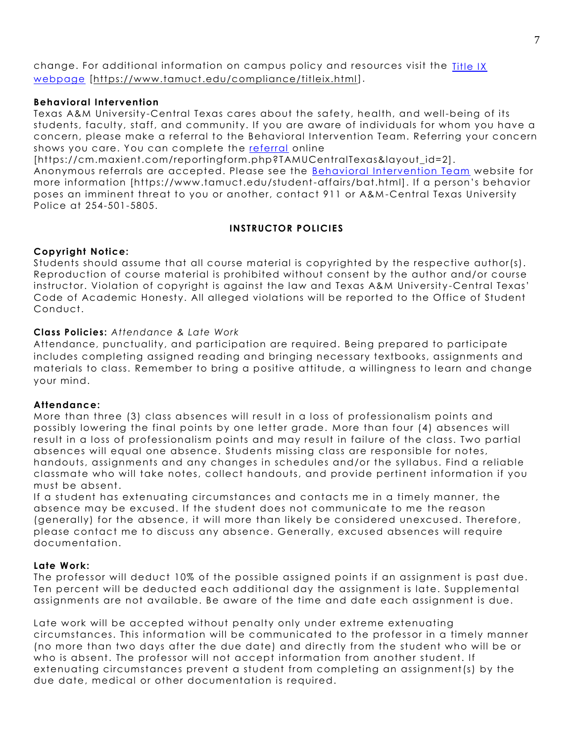change. For additional information on campus policy and resources visit the [Title IX](https://www.tamuct.edu/compliance/titleix.html)  [webpage](https://www.tamuct.edu/compliance/titleix.html) [\[https://www.tamuct.edu/compliance/titleix.html\]](https://www.tamuct.edu/compliance/titleix.html).

#### **Behavioral Intervention**

Texas A&M University-Central Texas cares about the safety, health, and well-being of its students, faculty, staff, and community. If you are aware of individuals for whom you have a concern, please make a referral to the Behavioral Intervention Team. Referring your concern shows you care. You can complete the [referral](https://cm.maxient.com/reportingform.php?TAMUCentralTexas&layout_id=2) online

[https://cm.maxient.com/reportingform.php?TAMUCentralTexas&layout\_id=2].

Anonymous referrals are accepted. Please see the [Behavioral Intervention Team](https://www.tamuct.edu/student-affairs/bat.html) website for more information [https://www.tamuct.edu/student-affairs/bat.html]. If a person's behavior poses an imminent threat to you or another, contact 911 or A&M -Central Texas University Police at 254-501-5805.

## **INSTRUCTOR POLICIES**

### **Copyright Notice:**

Students should assume that all course material is copyrighted by the respective author(s). Reproduction of course material is prohibited without consent by the author and/or course instructor. Violation of copyright is against the law and Texas A&M University -Central Texas' Code of Academic Honesty. All alleged violations will be reported to the Office of Student Conduct.

### **Class Policies:** *Attendance & Late Work*

Attendance, punctuality, and participation are required. Being prepared to participate includes completing assigned reading and bringing necessary textbooks, assignments and materials to class. Remember to bring a positive attitude, a willingness to learn and change your mind.

#### **Attendance:**

More than three (3) class absences will result in a loss of professionalism points and possibly lowering the final points by one letter grade. More than four (4) absences will result in a loss of professionalism points and may result in failure of the class. Two partial absences will equal one absence. Students missing class are responsible for notes, handouts, assignments and any changes in schedules and/or the syllabus. Find a reliable classmate who will take notes, collect handouts, and provide pertinent information if you must be absent.

If a student has extenuating circumstances and contacts me in a timely manner, the absence may be excused. If the student does not communicate to me the reason (generally) for the absence, it will more than likely be considered unexcused. Therefore, please contact me to discuss any absence. Generally, excused absences will require documentation.

#### **Late Work:**

The professor will deduct 10% of the possible assigned points if an assignment is past due. Ten percent will be deducted each additional day the assignment is late. Supplemental assignments are not available. Be aware of the time and date each assignment is due.

Late work will be accepted without penalty only under extreme extenuating circumstances. This information will be communicated to the professor in a timely manner (no more than two days after the due date) and directly from the student who will be or who is absent. The professor will not accept information from another student. If extenuating circumstances prevent a student from completing an assignment(s) by the due date, medical or other documentation is required.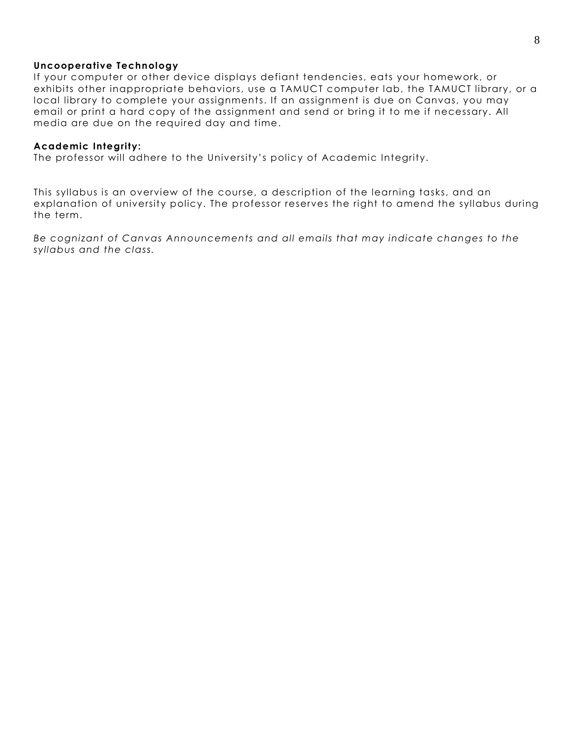#### **Uncooperative Technology**

If your computer or other device displays defiant tendencies, eats your homework, or exhibits other inappropriate behaviors, use a TAMUCT computer lab, the TAMUCT library, or a local library to complete your assignments. If an assignment is due on Canvas, you may email or print a hard copy of the assignment and send or bring it to me if necessary. All media are due on the required day and time.

#### **Academic Integrity:**

The professor will adhere to the University's policy of Academic Integrity.

This syllabus is an overview of the course, a description of the learning tasks, and an explanation of university policy. The professor reserves the right to amend the syllabus during the term.

*Be cognizant of Canvas Announcements and all emails that may indicate changes to the syllabus and the class.*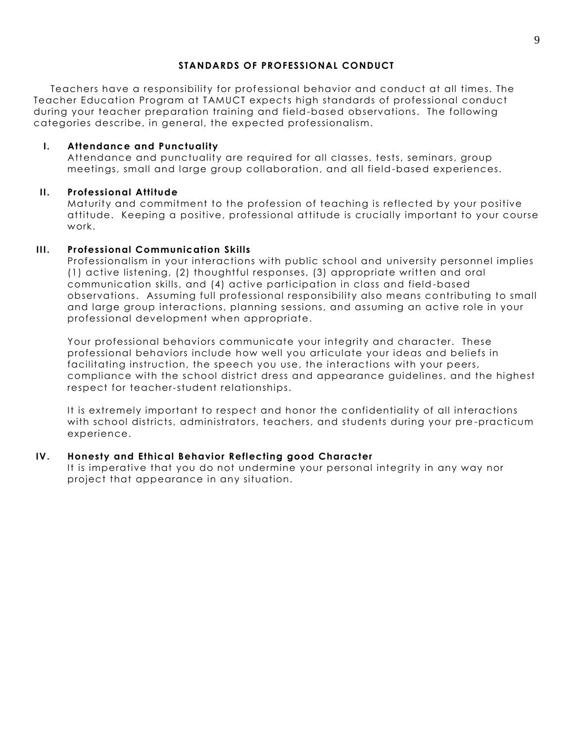### **STANDARDS OF PROFESSIONAL CONDUCT**

Teachers have a responsibility for professional behavior and conduct at all times. The Teacher Education Program at TAMUCT expects high standards of professional conduct during your teacher preparation training and field-based observations. The following categories describe, in general, the expected professionalism.

### **I. Attendance and Punctuality**

Attendance and punctuality are required for all classes, tests, seminars, group meetings, small and large group collaboration, and all field-based experiences.

## **II. Professional Attitude**

Maturity and commitment to the profession of teaching is reflected by your positive attitude. Keeping a positive, professional attitude is crucially important to your course work.

### **III. Professional Communication Skills**

Professionalism in your interactions with public school and university personnel implies (1) active listening, (2) thoughtful responses, (3) appropriate written and oral communication skills, and (4) active participation in class and field -based observations. Assuming full professional responsibility also means contributing to small and large group interactions, planning sessions, and assuming an active role in your professional development when appropriate.

Your professional behaviors communicate your integrity and character. These professional behaviors include how well you articulate your ideas and beliefs in facilitating instruction, the speech you use, the interactions with your peers, compliance with the school district dress and appearance guidelines, and the highest respect for teacher-student relationships.

It is extremely important to respect and honor the confidentiality of all interactions with school districts, administrators, teachers, and students during your pre -practicum experience.

## **IV. Honesty and Ethical Behavior Reflecting good Character**

It is imperative that you do not undermine your personal integrity in any way nor project that appearance in any situation.